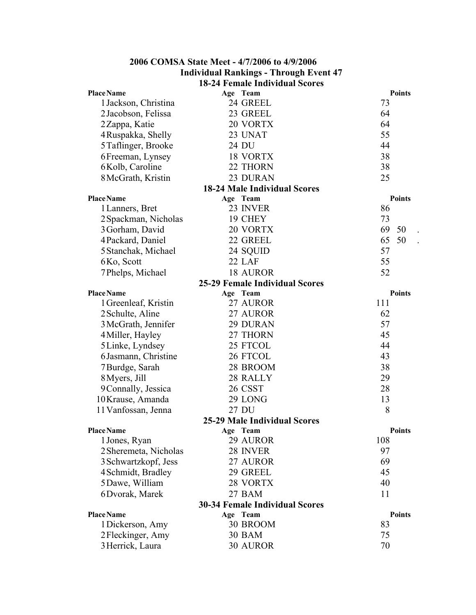| <b>Individual Rankings - Through Event 47</b>  |                                       |               |  |  |
|------------------------------------------------|---------------------------------------|---------------|--|--|
| <b>18-24 Female Individual Scores</b>          |                                       |               |  |  |
| <b>Place Name</b>                              | Age Team                              | <b>Points</b> |  |  |
| 1 Jackson, Christina                           | 24 GREEL                              | 73            |  |  |
| 2 Jacobson, Felissa                            | 23 GREEL                              | 64            |  |  |
| 2 Zappa, Katie                                 | 20 VORTX                              | 64            |  |  |
| 4 Ruspakka, Shelly                             | 23 UNAT                               | 55            |  |  |
| 5 Taflinger, Brooke                            | 24 DU                                 | 44            |  |  |
| 6 Freeman, Lynsey                              | 18 VORTX                              | 38            |  |  |
| 6Kolb, Caroline                                | 22 THORN                              | 38            |  |  |
| 8 McGrath, Kristin                             | 23 DURAN                              | 25            |  |  |
|                                                | <b>18-24 Male Individual Scores</b>   |               |  |  |
| <b>Place Name</b>                              | Age Team                              | <b>Points</b> |  |  |
| 1 Lanners, Bret                                | 23 INVER                              | 86            |  |  |
| 2 Spackman, Nicholas                           | 19 CHEY                               | 73            |  |  |
| 3 Gorham, David                                | 20 VORTX                              | 69<br>50      |  |  |
| 4 Packard, Daniel                              | 22 GREEL                              | 65<br>50      |  |  |
| 5 Stanchak, Michael                            | 24 SQUID                              | 57            |  |  |
| 6Ko, Scott                                     | 22 LAF                                | 55            |  |  |
| 7 Phelps, Michael                              | <b>18 AUROR</b>                       | 52            |  |  |
|                                                | <b>25-29 Female Individual Scores</b> |               |  |  |
| <b>Place Name</b>                              | Age Team                              | <b>Points</b> |  |  |
| 1 Greenleaf, Kristin                           | 27 AUROR                              | 111           |  |  |
| 2 Schulte, Aline                               | 27 AUROR                              | 62            |  |  |
| 3 McGrath, Jennifer                            | 29 DURAN                              | 57            |  |  |
| 4 Miller, Hayley                               | 27 THORN                              | 45            |  |  |
| 5 Linke, Lyndsey                               | 25 FTCOL                              | 44            |  |  |
| 6 Jasmann, Christine                           | 26 FTCOL                              | 43            |  |  |
| 7 Burdge, Sarah                                | 28 BROOM                              | 38            |  |  |
| 8 Myers, Jill                                  | 28 RALLY                              | 29            |  |  |
| 9 Connally, Jessica                            | 26 CSST                               | 28            |  |  |
| 10 Krause, Amanda                              | 29 LONG                               | 13            |  |  |
| 11 Vanfossan, Jenna                            | 27 DU                                 | 8             |  |  |
|                                                | <b>25-29 Male Individual Scores</b>   |               |  |  |
| <b>Place Name</b>                              | Age Team                              | <b>Points</b> |  |  |
| 1 Jones, Ryan                                  | 29 AUROR                              | 108           |  |  |
| 2 Sheremeta, Nicholas                          | 28 INVER                              | 97            |  |  |
| 3 Schwartzkopf, Jess                           | 27 AUROR                              | 69            |  |  |
| 4 Schmidt, Bradley                             | 29 GREEL                              | 45            |  |  |
| 5 Dawe, William                                | 28 VORTX                              | 40            |  |  |
| 6Dvorak, Marek                                 | 27 BAM                                | 11            |  |  |
|                                                | <b>30-34 Female Individual Scores</b> |               |  |  |
| <b>Place Name</b><br><b>Points</b><br>Age Team |                                       |               |  |  |
| 1 Dickerson, Amy                               | 30 BROOM                              | 83            |  |  |
| 2 Fleckinger, Amy                              | <b>30 BAM</b>                         | 75            |  |  |
| 3 Herrick, Laura                               | 30 AUROR                              | 70            |  |  |

**2006 COMSA State Meet - 4/7/2006 to 4/9/2006**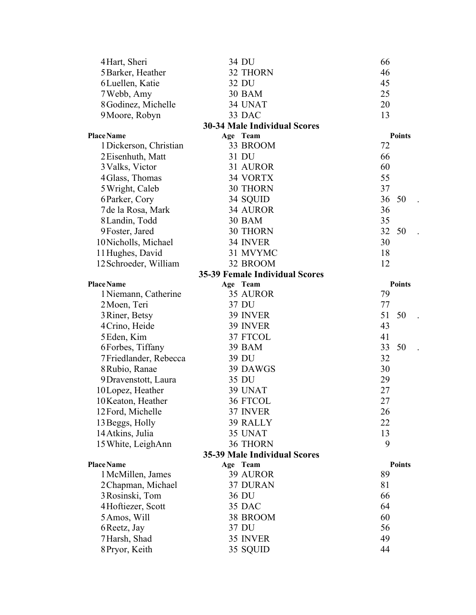|                                                                           | 4 Hart, Sheri          | 34 DU                                 | 66            |  |
|---------------------------------------------------------------------------|------------------------|---------------------------------------|---------------|--|
|                                                                           | 5 Barker, Heather      | 32 THORN                              | 46            |  |
|                                                                           | 6 Luellen, Katie       | 32 DU                                 | 45            |  |
|                                                                           | 7 Webb, Amy            | <b>30 BAM</b>                         | 25            |  |
|                                                                           | 8 Godinez, Michelle    | 34 UNAT                               | 20            |  |
|                                                                           | 9 Moore, Robyn         | 33 DAC                                | 13            |  |
|                                                                           |                        | <b>30-34 Male Individual Scores</b>   |               |  |
|                                                                           | <b>Place Name</b>      | Age Team                              | <b>Points</b> |  |
|                                                                           | 1 Dickerson, Christian | 33 BROOM                              | 72            |  |
|                                                                           | 2 Eisenhuth, Matt      | 31 DU                                 | 66            |  |
|                                                                           | 3 Valks, Victor        | 31 AUROR                              | 60            |  |
|                                                                           | 4 Glass, Thomas        | 34 VORTX                              | 55            |  |
|                                                                           | 5 Wright, Caleb        | <b>30 THORN</b>                       | 37            |  |
|                                                                           | 6 Parker, Cory         | 34 SQUID                              | 36<br>50      |  |
|                                                                           | 7 de la Rosa, Mark     | 34 AUROR                              | 36            |  |
|                                                                           | 8 Landin, Todd         | <b>30 BAM</b>                         | 35            |  |
|                                                                           | 9 Foster, Jared        | 30 THORN                              | 32<br>50      |  |
|                                                                           | 10 Nicholls, Michael   | 34 INVER                              | 30            |  |
|                                                                           | 11 Hughes, David       | 31 MVYMC                              | 18            |  |
|                                                                           | 12 Schroeder, William  | 32 BROOM                              | 12            |  |
|                                                                           |                        | <b>35-39 Female Individual Scores</b> |               |  |
|                                                                           | <b>Place Name</b>      | Age Team                              | <b>Points</b> |  |
|                                                                           | 1 Niemann, Catherine   | 35 AUROR                              | 79            |  |
|                                                                           | 2 Moen, Teri           | 37 DU                                 | 77            |  |
|                                                                           | 3 Riner, Betsy         | 39 INVER                              | 51<br>50      |  |
|                                                                           | 4 Crino, Heide         | 39 INVER                              | 43            |  |
|                                                                           | 5 Eden, Kim            | 37 FTCOL                              | 41            |  |
|                                                                           | 6 Forbes, Tiffany      | <b>39 BAM</b>                         | 33<br>50      |  |
|                                                                           | 7Friedlander, Rebecca  | 39 DU                                 | 32            |  |
|                                                                           | 8 Rubio, Ranae         | 39 DAWGS                              | 30            |  |
|                                                                           | 9 Dravenstott, Laura   | 35 DU                                 | 29            |  |
|                                                                           | 10Lopez, Heather       | 39 UNAT                               | 27            |  |
|                                                                           | 10 Keaton, Heather     | 36 FTCOL                              | 27            |  |
|                                                                           | 12 Ford, Michelle      | 37 INVER                              | 26            |  |
|                                                                           | 13 Beggs, Holly        | 39 RALLY                              | 22            |  |
|                                                                           | 14 Atkins, Julia       | 35 UNAT                               | 13            |  |
|                                                                           | 15 White, LeighAnn     | 36 THORN                              | 9             |  |
| <b>35-39 Male Individual Scores</b><br><b>Place Name</b><br><b>Points</b> |                        |                                       |               |  |
|                                                                           |                        | Age Team<br>39 AUROR                  | 89            |  |
|                                                                           | 1 McMillen, James      | 37 DURAN                              | 81            |  |
|                                                                           | 2 Chapman, Michael     | 36 DU                                 | 66            |  |
|                                                                           | 3 Rosinski, Tom        | 35 DAC                                | 64            |  |
|                                                                           | 4Hoftiezer, Scott      |                                       |               |  |
|                                                                           | 5 Amos, Will           | 38 BROOM<br>37 DU                     | 60<br>56      |  |
|                                                                           | 6 Reetz, Jay           | 35 INVER                              | 49            |  |
|                                                                           | 7 Harsh, Shad          |                                       |               |  |
|                                                                           | 8 Pryor, Keith         | 35 SQUID                              | 44            |  |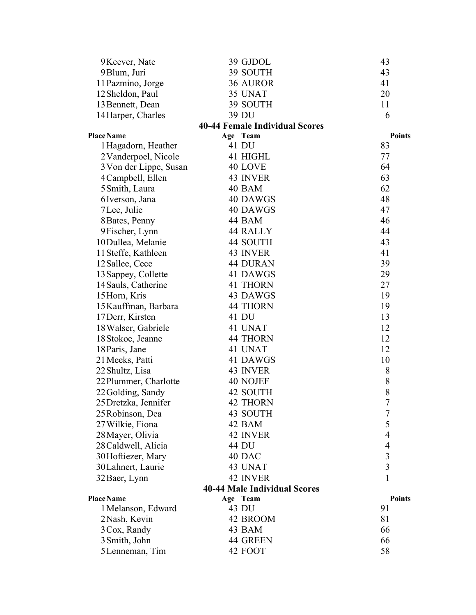| 9 Keever, Nate         | 39 GJDOL                              | 43             |
|------------------------|---------------------------------------|----------------|
| 9 Blum, Juri           | 39 SOUTH                              | 43             |
| 11 Pazmino, Jorge      | 36 AUROR                              | 41             |
| 12 Sheldon, Paul       | 35 UNAT                               | 20             |
| 13 Bennett, Dean       | 39 SOUTH                              | 11             |
| 14 Harper, Charles     | 39 DU                                 | 6              |
|                        | <b>40-44 Female Individual Scores</b> |                |
| <b>Place Name</b>      | Age Team                              | <b>Points</b>  |
| 1 Hagadorn, Heather    | 41 DU                                 | 83             |
| 2 Vanderpoel, Nicole   | 41 HIGHL                              | 77             |
| 3 Von der Lippe, Susan | 40 LOVE                               | 64             |
| 4 Campbell, Ellen      | 43 INVER                              | 63             |
| 5 Smith, Laura         | 40 BAM                                | 62             |
| 6 Iverson, Jana        | 40 DAWGS                              | 48             |
| 7 Lee, Julie           | 40 DAWGS                              | 47             |
| 8 Bates, Penny         | 44 BAM                                | 46             |
| 9 Fischer, Lynn        | 44 RALLY                              | 44             |
| 10 Dullea, Melanie     | 44 SOUTH                              | 43             |
| 11 Steffe, Kathleen    | 43 INVER                              | 41             |
| 12 Sallee, Cece        | 44 DURAN                              | 39             |
| 13 Sappey, Collette    | 41 DAWGS                              | 29             |
| 14 Sauls, Catherine    | 41 THORN                              | 27             |
| 15 Horn, Kris          | 43 DAWGS                              | 19             |
| 15 Kauffman, Barbara   | <b>44 THORN</b>                       | 19             |
| 17 Derr, Kirsten       | 41 DU                                 | 13             |
| 18 Walser, Gabriele    | 41 UNAT                               | 12             |
| 18 Stokoe, Jeanne      | 44 THORN                              | 12             |
| 18 Paris, Jane         | 41 UNAT                               | 12             |
| 21 Meeks, Patti        | 41 DAWGS                              | 10             |
| 22 Shultz, Lisa        | 43 INVER                              | 8              |
| 22 Plummer, Charlotte  | 40 NOJEF                              | 8              |
| 22 Golding, Sandy      | 42 SOUTH                              | 8              |
| 25 Dretzka, Jennifer   | <b>42 THORN</b>                       | $\overline{7}$ |
| 25 Robinson, Dea       | 43 SOUTH                              | $\overline{7}$ |
| 27 Wilkie, Fiona       | 42 BAM                                | 5              |
| 28 Mayer, Olivia       | 42 INVER                              | 4              |
| 28 Caldwell, Alicia    | 44 DU                                 | 4              |
| 30 Hoftiezer, Mary     | 40 DAC                                | $\mathfrak{Z}$ |
| 30 Lahnert, Laurie     | 43 UNAT                               | $\overline{3}$ |
| 32 Baer, Lynn          | 42 INVER                              | 1              |
|                        | <b>40-44 Male Individual Scores</b>   |                |
| Place Name             | Age Team                              | <b>Points</b>  |
| 1 Melanson, Edward     | 43 DU                                 | 91             |
| 2 Nash, Kevin          | 42 BROOM                              | 81             |
| 3 Cox, Randy           | 43 BAM                                | 66             |
| 3 Smith, John          | 44 GREEN                              | 66             |
| 5 Lenneman, Tim        | 42 FOOT                               | 58             |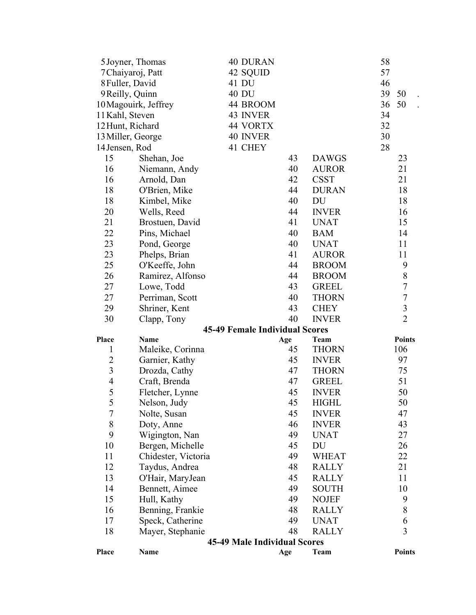| Place             | Name                 |                                       | Age | Team         | <b>Points</b>    |
|-------------------|----------------------|---------------------------------------|-----|--------------|------------------|
|                   |                      | <b>45-49 Male Individual Scores</b>   |     |              |                  |
| 18                | Mayer, Stephanie     |                                       | 48  | <b>RALLY</b> | 3                |
| 17                | Speck, Catherine     |                                       | 49  | <b>UNAT</b>  | 6                |
| 16                | Benning, Frankie     |                                       | 48  | <b>RALLY</b> | 8                |
| 15                | Hull, Kathy          |                                       | 49  | <b>NOJEF</b> | 9                |
| 14                | Bennett, Aimee       |                                       | 49  | <b>SOUTH</b> | 10               |
| 13                | O'Hair, MaryJean     |                                       | 45  | <b>RALLY</b> | 11               |
| 12                | Taydus, Andrea       |                                       | 48  | <b>RALLY</b> | 21               |
| 11                | Chidester, Victoria  |                                       | 49  | <b>WHEAT</b> | 22               |
| 10                | Bergen, Michelle     |                                       | 45  | DU           | 26               |
| 9                 | Wigington, Nan       |                                       | 49  | <b>UNAT</b>  | 27               |
| 8                 | Doty, Anne           |                                       | 46  | <b>INVER</b> | 43               |
| 7                 | Nolte, Susan         |                                       | 45  | <b>INVER</b> | 47               |
|                   |                      |                                       |     |              |                  |
| 5                 | Nelson, Judy         |                                       | 45  | <b>HIGHL</b> | 50               |
| 5                 | Fletcher, Lynne      |                                       | 45  | <b>INVER</b> | 50               |
| $\overline{4}$    | Craft, Brenda        |                                       | 47  | <b>GREEL</b> | 51               |
| 3                 | Drozda, Cathy        |                                       | 47  | <b>THORN</b> | 75               |
| 2                 | Garnier, Kathy       |                                       | 45  | <b>INVER</b> | 97               |
| $\mathbf{1}$      | Maleike, Corinna     |                                       | 45  | <b>THORN</b> | 106              |
| Place             | <b>Name</b>          |                                       | Age | Team         | <b>Points</b>    |
|                   |                      | <b>45-49 Female Individual Scores</b> |     |              |                  |
| 30                | Clapp, Tony          |                                       | 40  | <b>INVER</b> | $\overline{2}$   |
| 29                | Shriner, Kent        |                                       | 43  | <b>CHEY</b>  | $\mathfrak{Z}$   |
| 27                | Perriman, Scott      |                                       | 40  | <b>THORN</b> | $\boldsymbol{7}$ |
| 27                | Lowe, Todd           |                                       | 43  | <b>GREEL</b> | $\tau$           |
| 26                | Ramirez, Alfonso     |                                       | 44  | <b>BROOM</b> | $8\,$            |
| 25                | O'Keeffe, John       |                                       | 44  | <b>BROOM</b> | 9                |
| 23                | Phelps, Brian        |                                       | 41  | <b>AUROR</b> | 11               |
| 23                | Pond, George         |                                       | 40  | <b>UNAT</b>  | 11               |
| 22                | Pins, Michael        |                                       | 40  | <b>BAM</b>   | 14               |
| 21                | Brostuen, David      |                                       | 41  | <b>UNAT</b>  | 15               |
| 20                | Wells, Reed          |                                       | 44  | <b>INVER</b> | 16               |
| 18                | Kimbel, Mike         |                                       | 40  | DU           | 18               |
| 18                | O'Brien, Mike        |                                       | 44  | <b>DURAN</b> | 18               |
| 16                | Arnold, Dan          |                                       | 42  | <b>CSST</b>  | 21               |
| 16                | Niemann, Andy        |                                       | 40  | <b>AUROR</b> | 21               |
| 15                | Shehan, Joe          |                                       | 43  | <b>DAWGS</b> | 23               |
| 14 Jensen, Rod    |                      | 41 CHEY                               |     |              | 28               |
| 13 Miller, George |                      | <b>40 INVER</b>                       |     |              | 30               |
| 12 Hunt, Richard  |                      | 44 VORTX                              |     |              | 32               |
| 11 Kahl, Steven   |                      | 43 INVER                              |     |              | 34               |
|                   | 10 Magouirk, Jeffrey | 44 BROOM                              |     |              | 36<br>50         |
| 9 Reilly, Quinn   |                      | 40 DU                                 |     |              | 39<br>50         |
| 8 Fuller, David   |                      | 41 DU                                 |     |              | 46               |
| 7 Chaiyaroj, Patt |                      | 42 SQUID                              |     |              | 57               |
| 5 Joyner, Thomas  |                      | <b>40 DURAN</b>                       |     |              | 58               |
|                   |                      |                                       |     |              |                  |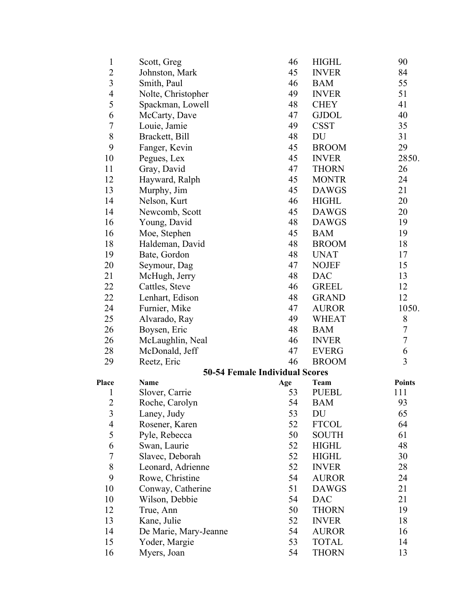| $\mathbf{1}$     | Scott, Greg                           | 46  | <b>HIGHL</b> | 90             |
|------------------|---------------------------------------|-----|--------------|----------------|
| $\overline{2}$   | Johnston, Mark                        | 45  | <b>INVER</b> | 84             |
| 3                | Smith, Paul                           | 46  | <b>BAM</b>   | 55             |
| $\overline{4}$   | Nolte, Christopher                    | 49  | <b>INVER</b> | 51             |
| 5                | Spackman, Lowell                      | 48  | <b>CHEY</b>  | 41             |
| 6                | McCarty, Dave                         | 47  | <b>GJDOL</b> | 40             |
| $\boldsymbol{7}$ | Louie, Jamie                          | 49  | <b>CSST</b>  | 35             |
| 8                | Brackett, Bill                        | 48  | DU           | 31             |
| 9                | Fanger, Kevin                         | 45  | <b>BROOM</b> | 29             |
| 10               | Pegues, Lex                           | 45  | <b>INVER</b> | 2850.          |
| 11               | Gray, David                           | 47  | <b>THORN</b> | 26             |
| 12               | Hayward, Ralph                        | 45  | <b>MONTR</b> | 24             |
| 13               | Murphy, Jim                           | 45  | <b>DAWGS</b> | 21             |
| 14               | Nelson, Kurt                          | 46  | <b>HIGHL</b> | 20             |
| 14               | Newcomb, Scott                        | 45  | <b>DAWGS</b> | 20             |
| 16               | Young, David                          | 48  | <b>DAWGS</b> | 19             |
| 16               | Moe, Stephen                          | 45  | <b>BAM</b>   | 19             |
| 18               | Haldeman, David                       | 48  | <b>BROOM</b> | 18             |
| 19               | Bate, Gordon                          | 48  | <b>UNAT</b>  | 17             |
| 20               | Seymour, Dag                          | 47  | <b>NOJEF</b> | 15             |
| 21               | McHugh, Jerry                         | 48  | <b>DAC</b>   | 13             |
| 22               | Cattles, Steve                        | 46  | <b>GREEL</b> | 12             |
| 22               | Lenhart, Edison                       | 48  | <b>GRAND</b> | 12             |
| 24               | Furnier, Mike                         | 47  | <b>AUROR</b> | 1050.          |
| 25               | Alvarado, Ray                         | 49  | <b>WHEAT</b> | 8              |
| 26               | Boysen, Eric                          | 48  | <b>BAM</b>   | $\tau$         |
| 26               | McLaughlin, Neal                      | 46  | <b>INVER</b> | $\tau$         |
| 28               | McDonald, Jeff                        | 47  | <b>EVERG</b> | 6              |
| 29               | Reetz, Eric                           | 46  | <b>BROOM</b> | $\overline{3}$ |
|                  | <b>50-54 Female Individual Scores</b> |     |              |                |
| Place            | <b>Name</b>                           | Age | Team         | <b>Points</b>  |
| 1                | Slover, Carrie                        | 53  | <b>PUEBL</b> | 111            |
| $\overline{2}$   | Roche, Carolyn                        | 54  | <b>BAM</b>   | 93             |
| 3                | Laney, Judy                           | 53  | DU           | 65             |
| 4                | Rosener, Karen                        | 52  | <b>FTCOL</b> | 64             |
| 5                | Pyle, Rebecca                         | 50  | <b>SOUTH</b> | 61             |
| 6                | Swan, Laurie                          | 52  | <b>HIGHL</b> | 48             |
| $\boldsymbol{7}$ | Slavec, Deborah                       | 52  | <b>HIGHL</b> | 30             |
| $8\,$            | Leonard, Adrienne                     | 52  | <b>INVER</b> | 28             |
| 9                | Rowe, Christine                       | 54  | <b>AUROR</b> | 24             |
| 10               | Conway, Catherine                     | 51  | <b>DAWGS</b> | 21             |
| 10               | Wilson, Debbie                        | 54  | <b>DAC</b>   | 21             |
| 12               | True, Ann                             | 50  | <b>THORN</b> | 19             |
| 13               | Kane, Julie                           | 52  | <b>INVER</b> | 18             |
| 14               | De Marie, Mary-Jeanne                 | 54  | <b>AUROR</b> | 16             |
| 15               | Yoder, Margie                         | 53  | <b>TOTAL</b> | 14             |
| 16               | Myers, Joan                           | 54  | <b>THORN</b> | 13             |
|                  |                                       |     |              |                |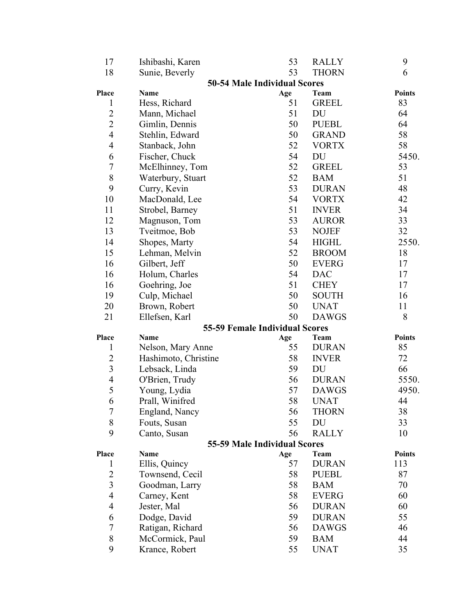| 17                      | Ishibashi, Karen     | 53                                    | <b>RALLY</b> | 9             |
|-------------------------|----------------------|---------------------------------------|--------------|---------------|
| 18                      | Sunie, Beverly       | 53                                    | <b>THORN</b> | 6             |
|                         |                      | <b>50-54 Male Individual Scores</b>   |              |               |
| Place                   | Name                 | Age                                   | Team         | <b>Points</b> |
| 1                       | Hess, Richard        | 51                                    | <b>GREEL</b> | 83            |
| $\overline{2}$          | Mann, Michael        | 51                                    | DU           | 64            |
| $\overline{2}$          | Gimlin, Dennis       | 50                                    | <b>PUEBL</b> | 64            |
| $\overline{4}$          | Stehlin, Edward      | 50                                    | <b>GRAND</b> | 58            |
| $\overline{4}$          | Stanback, John       | 52                                    | <b>VORTX</b> | 58            |
| 6                       | Fischer, Chuck       | 54                                    | DU           | 5450.         |
| $\overline{7}$          | McElhinney, Tom      | 52                                    | <b>GREEL</b> | 53            |
| 8                       | Waterbury, Stuart    | 52                                    | <b>BAM</b>   | 51            |
| 9                       | Curry, Kevin         | 53                                    | <b>DURAN</b> | 48            |
| 10                      | MacDonald, Lee       | 54                                    | <b>VORTX</b> | 42            |
| 11                      | Strobel, Barney      | 51                                    | <b>INVER</b> | 34            |
| 12                      | Magnuson, Tom        | 53                                    | <b>AUROR</b> | 33            |
| 13                      | Tveitmoe, Bob        | 53                                    | <b>NOJEF</b> | 32            |
| 14                      | Shopes, Marty        | 54                                    | <b>HIGHL</b> | 2550.         |
| 15                      | Lehman, Melvin       | 52                                    | <b>BROOM</b> | 18            |
| 16                      | Gilbert, Jeff        | 50                                    | <b>EVERG</b> | 17            |
| 16                      | Holum, Charles       | 54                                    | <b>DAC</b>   | 17            |
| 16                      | Goehring, Joe        | 51                                    | <b>CHEY</b>  | 17            |
| 19                      | Culp, Michael        | 50                                    | <b>SOUTH</b> | 16            |
| 20                      | Brown, Robert        | 50                                    | <b>UNAT</b>  | 11            |
| 21                      | Ellefsen, Karl       | 50                                    | <b>DAWGS</b> | 8             |
|                         |                      | <b>55-59 Female Individual Scores</b> |              |               |
| Place                   | <b>Name</b>          | Age                                   | <b>Team</b>  | <b>Points</b> |
| $\mathbf{1}$            | Nelson, Mary Anne    | 55                                    | <b>DURAN</b> | 85            |
| $\overline{2}$          | Hashimoto, Christine | 58                                    | <b>INVER</b> | 72            |
| $\overline{\mathbf{3}}$ | Lebsack, Linda       | 59                                    | DU           | 66            |
| $\overline{4}$          | O'Brien, Trudy       | 56                                    | <b>DURAN</b> | 5550.         |
| 5                       | Young, Lydia         | 57                                    | <b>DAWGS</b> | 4950.         |
| 6                       | Prall, Winifred      | 58                                    | <b>UNAT</b>  | 44            |
| 7                       | England, Nancy       | 56                                    | <b>THORN</b> | 38            |
| 8                       | Fouts, Susan         | 55                                    | DU           | 33            |
| 9                       | Canto, Susan         | 56                                    | <b>RALLY</b> | 10            |
|                         |                      | 55-59 Male Individual Scores          |              |               |
| Place                   | <b>Name</b>          | Age                                   | Team         | <b>Points</b> |
| $\mathbf{1}$            | Ellis, Quincy        | 57                                    | <b>DURAN</b> | 113           |
| $\overline{2}$          | Townsend, Cecil      | 58                                    | <b>PUEBL</b> | 87            |
| $\overline{\mathbf{3}}$ | Goodman, Larry       | 58                                    | <b>BAM</b>   | 70            |
| $\overline{4}$          | Carney, Kent         | 58                                    | <b>EVERG</b> | 60            |
| $\overline{4}$          | Jester, Mal          | 56                                    | <b>DURAN</b> | 60            |
| 6                       | Dodge, David         | 59                                    | <b>DURAN</b> | 55            |
| $\overline{7}$          | Ratigan, Richard     | 56                                    | <b>DAWGS</b> | 46            |
| 8                       | McCormick, Paul      | 59                                    | <b>BAM</b>   | 44            |
| 9                       | Krance, Robert       | 55                                    | <b>UNAT</b>  | 35            |